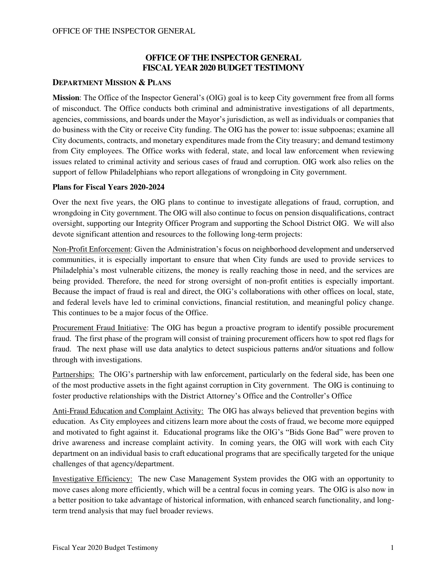## **OFFICE OF THE INSPECTOR GENERAL FISCAL YEAR 2020 BUDGET TESTIMONY**

### **DEPARTMENT MISSION & PLANS**

**Mission**: The Office of the Inspector General's (OIG) goal is to keep City government free from all forms of misconduct. The Office conducts both criminal and administrative investigations of all departments, agencies, commissions, and boards under the Mayor's jurisdiction, as well as individuals or companies that do business with the City or receive City funding. The OIG has the power to: issue subpoenas; examine all City documents, contracts, and monetary expenditures made from the City treasury; and demand testimony from City employees. The Office works with federal, state, and local law enforcement when reviewing issues related to criminal activity and serious cases of fraud and corruption. OIG work also relies on the support of fellow Philadelphians who report allegations of wrongdoing in City government.

#### **Plans for Fiscal Years 2020-2024**

Over the next five years, the OIG plans to continue to investigate allegations of fraud, corruption, and wrongdoing in City government. The OIG will also continue to focus on pension disqualifications, contract oversight, supporting our Integrity Officer Program and supporting the School District OIG. We will also devote significant attention and resources to the following long-term projects:

Non-Profit Enforcement: Given the Administration's focus on neighborhood development and underserved communities, it is especially important to ensure that when City funds are used to provide services to Philadelphia's most vulnerable citizens, the money is really reaching those in need, and the services are being provided. Therefore, the need for strong oversight of non-profit entities is especially important. Because the impact of fraud is real and direct, the OIG's collaborations with other offices on local, state, and federal levels have led to criminal convictions, financial restitution, and meaningful policy change. This continues to be a major focus of the Office.

Procurement Fraud Initiative: The OIG has begun a proactive program to identify possible procurement fraud. The first phase of the program will consist of training procurement officers how to spot red flags for fraud. The next phase will use data analytics to detect suspicious patterns and/or situations and follow through with investigations.

Partnerships: The OIG's partnership with law enforcement, particularly on the federal side, has been one of the most productive assets in the fight against corruption in City government. The OIG is continuing to foster productive relationships with the District Attorney's Office and the Controller's Office

Anti-Fraud Education and Complaint Activity: The OIG has always believed that prevention begins with education. As City employees and citizens learn more about the costs of fraud, we become more equipped and motivated to fight against it. Educational programs like the OIG's "Bids Gone Bad" were proven to drive awareness and increase complaint activity. In coming years, the OIG will work with each City department on an individual basis to craft educational programs that are specifically targeted for the unique challenges of that agency/department.

Investigative Efficiency: The new Case Management System provides the OIG with an opportunity to move cases along more efficiently, which will be a central focus in coming years. The OIG is also now in a better position to take advantage of historical information, with enhanced search functionality, and longterm trend analysis that may fuel broader reviews.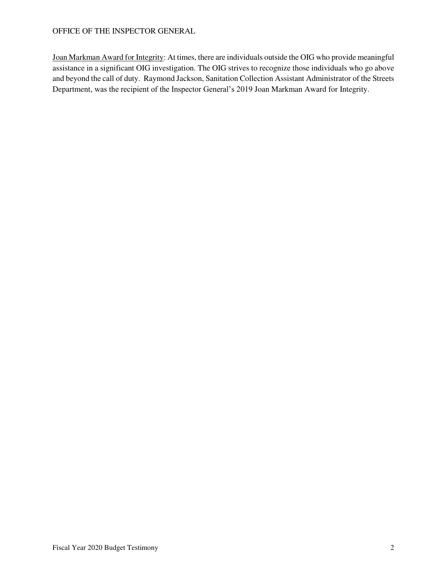#### OFFICE OF THE INSPECTOR GENERAL

Joan Markman Award for Integrity: At times, there are individuals outside the OIG who provide meaningful assistance in a significant OIG investigation. The OIG strives to recognize those individuals who go above and beyond the call of duty. Raymond Jackson, Sanitation Collection Assistant Administrator of the Streets Department, was the recipient of the Inspector General's 2019 Joan Markman Award for Integrity.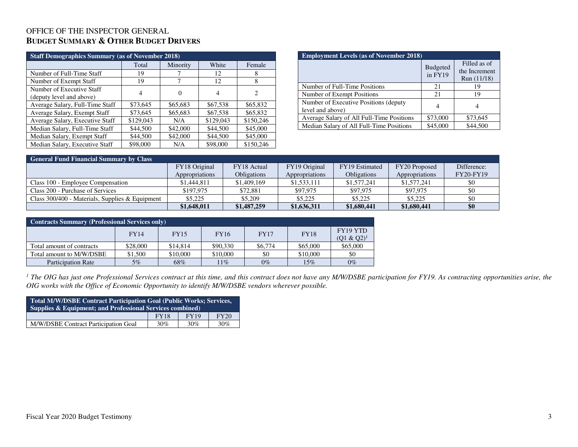## OFFICE OF THE INSPECTOR GENERAL **BUDGET SUMMARY & OTHER BUDGET DRIVERS**

| <b>Staff Demographics Summary (as of November 2018)</b> |           |          |           |                |  |  |  |  |  |  |
|---------------------------------------------------------|-----------|----------|-----------|----------------|--|--|--|--|--|--|
| White<br>Total<br>Minority<br>Female                    |           |          |           |                |  |  |  |  |  |  |
| Number of Full-Time Staff                               | 19        |          | 12        | 8              |  |  |  |  |  |  |
| Number of Exempt Staff                                  | 19        |          | 12        | 8              |  |  |  |  |  |  |
| Number of Executive Staff                               | 4         |          |           | $\overline{c}$ |  |  |  |  |  |  |
| (deputy level and above)                                |           |          |           |                |  |  |  |  |  |  |
| Average Salary, Full-Time Staff                         | \$73,645  | \$65,683 | \$67,538  | \$65,832       |  |  |  |  |  |  |
| Average Salary, Exempt Staff                            | \$73,645  | \$65,683 | \$67,538  | \$65,832       |  |  |  |  |  |  |
| Average Salary, Executive Staff                         | \$129,043 | N/A      | \$129,043 | \$150,246      |  |  |  |  |  |  |
| Median Salary, Full-Time Staff                          | \$44,500  | \$42,000 | \$44,500  | \$45,000       |  |  |  |  |  |  |
| Median Salary, Exempt Staff                             | \$44,500  | \$42,000 | \$44,500  | \$45,000       |  |  |  |  |  |  |
| Median Salary, Executive Staff                          | \$98,000  | N/A      | \$98,000  | \$150,246      |  |  |  |  |  |  |

| <b>Employment Levels (as of November 2018)</b>            |                            |                                              |  |  |  |  |  |
|-----------------------------------------------------------|----------------------------|----------------------------------------------|--|--|--|--|--|
|                                                           | <b>Budgeted</b><br>in FY19 | Filled as of<br>the Increment<br>Run (11/18) |  |  |  |  |  |
| Number of Full-Time Positions                             | 21                         | 19                                           |  |  |  |  |  |
| Number of Exempt Positions                                | 21                         | 19                                           |  |  |  |  |  |
| Number of Executive Positions (deputy<br>level and above) |                            |                                              |  |  |  |  |  |
| Average Salary of All Full-Time Positions                 | \$73,000                   | \$73,645                                     |  |  |  |  |  |
| Median Salary of All Full-Time Positions                  | \$45,000                   | \$44,500                                     |  |  |  |  |  |

| <b>General Fund Financial Summary by Class</b>  |                |                    |                |                |                |             |  |  |  |  |
|-------------------------------------------------|----------------|--------------------|----------------|----------------|----------------|-------------|--|--|--|--|
|                                                 | FY18 Original  | FY18 Actual        | FY19 Original  | FY19 Estimated | FY20 Proposed  | Difference: |  |  |  |  |
|                                                 | Appropriations | <b>Obligations</b> | Appropriations | Obligations    | Appropriations | FY20-FY19   |  |  |  |  |
| Class 100 - Employee Compensation               | \$1,444,811    | \$1,409,169        | \$1,533,111    | \$1,577,241    | \$1,577,241    | \$0         |  |  |  |  |
| Class 200 - Purchase of Services                | \$197.975      | \$72,881           | \$97,975       | \$97.975       | \$97,975       | \$0         |  |  |  |  |
| Class 300/400 - Materials, Supplies & Equipment | \$5,225        | \$5,209            | \$5,225        | \$5,225        | \$5,225        | -\$0        |  |  |  |  |
|                                                 | \$1,648,011    | \$1,487,259        | \$1,636,311    | \$1,680,441    | \$1,680,441    | \$0         |  |  |  |  |

| <b>Contracts Summary (Professional Services only)</b> |             |             |             |             |             |                           |  |  |  |
|-------------------------------------------------------|-------------|-------------|-------------|-------------|-------------|---------------------------|--|--|--|
|                                                       | <b>FY14</b> | <b>FY15</b> | <b>FY16</b> | <b>FY17</b> | <b>FY18</b> | FY19 YTD<br>$(Q1 & Q2)^1$ |  |  |  |
| Total amount of contracts                             | \$28,000    | \$14,814    | \$90,330    | \$6,774     | \$65,000    | \$65,000                  |  |  |  |
| Total amount to M/W/DSBE                              | \$1,500     | \$10,000    | \$10,000    | \$0         | \$10,000    | \$0                       |  |  |  |
| <b>Participation Rate</b>                             | $5\%$       | 68%         | $11\%$      | $0\%$       | 15%         | $0\%$                     |  |  |  |

<sup>1</sup> The OIG has just one Professional Services contract at this time, and this contract does not have any M/W/DSBE participation for FY19. As contracting opportunities arise, the *OIG works with the Office of Economic Opportunity to identify M/W/DSBE vendors wherever possible.* 

| <b>Total M/W/DSBE Contract Participation Goal (Public Works; Services,</b><br><b>Supplies &amp; Equipment: and Professional Services combined)</b> |     |     |     |  |  |  |  |  |
|----------------------------------------------------------------------------------------------------------------------------------------------------|-----|-----|-----|--|--|--|--|--|
| <b>FY19</b><br><b>FY20</b><br><b>FY18</b>                                                                                                          |     |     |     |  |  |  |  |  |
| M/W/DSBE Contract Participation Goal                                                                                                               | 30% | 30% | 30% |  |  |  |  |  |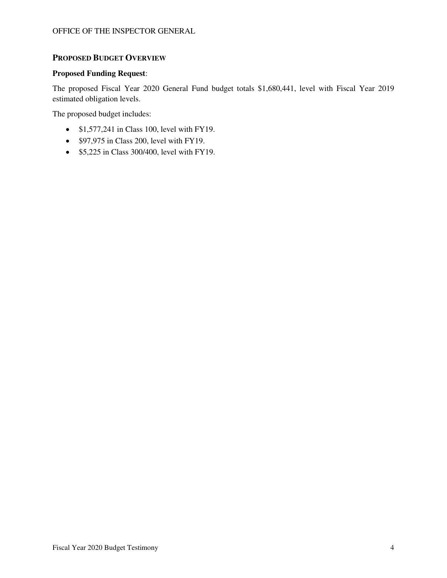### **PROPOSED BUDGET OVERVIEW**

#### **Proposed Funding Request**:

The proposed Fiscal Year 2020 General Fund budget totals \$1,680,441, level with Fiscal Year 2019 estimated obligation levels.

The proposed budget includes:

- $$1,577,241$  in Class 100, level with FY19.
- \$97,975 in Class 200, level with FY19.
- \$5,225 in Class 300/400, level with FY19.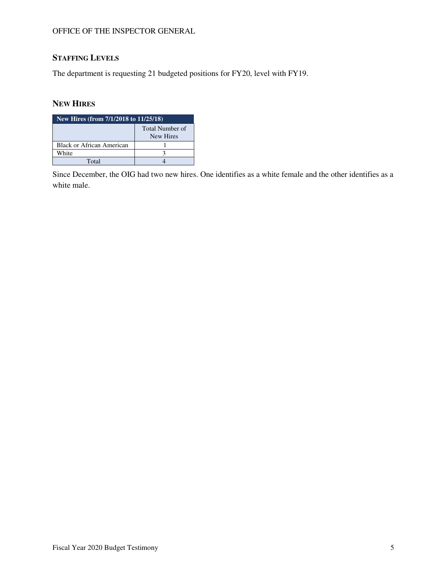#### OFFICE OF THE INSPECTOR GENERAL

# **STAFFING LEVELS**

The department is requesting 21 budgeted positions for FY20, level with FY19.

## **NEW HIRES**

| New Hires (from 7/1/2018 to 11/25/18) |                              |  |  |  |  |  |
|---------------------------------------|------------------------------|--|--|--|--|--|
|                                       | Total Number of<br>New Hires |  |  |  |  |  |
| <b>Black or African American</b>      |                              |  |  |  |  |  |
| White                                 |                              |  |  |  |  |  |
| Total                                 |                              |  |  |  |  |  |

Since December, the OIG had two new hires. One identifies as a white female and the other identifies as a white male.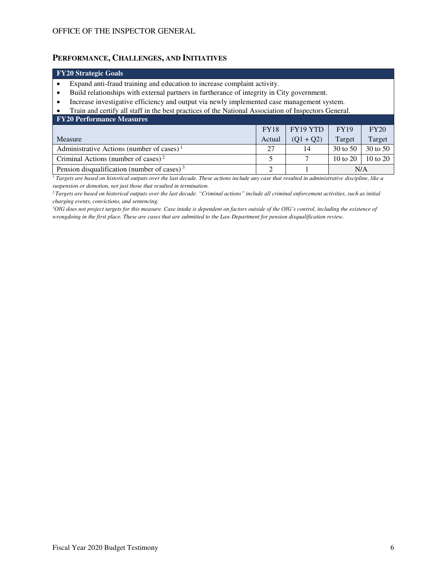#### **PERFORMANCE, CHALLENGES, AND INITIATIVES**

# **FY20 Strategic Goals**

- Expand anti-fraud training and education to increase complaint activity.
- Build relationships with external partners in furtherance of integrity in City government.
- Increase investigative efficiency and output via newly implemented case management system.
- Train and certify all staff in the best practices of the National Association of Inspectors General.

| <b>FY20 Performance Measures</b>                      |             |             |                     |              |  |  |  |  |  |
|-------------------------------------------------------|-------------|-------------|---------------------|--------------|--|--|--|--|--|
|                                                       | <b>FY18</b> | FY19 YTD    | <b>FY19</b>         | FY20         |  |  |  |  |  |
| Measure                                               | Actual      | $(Q1 + Q2)$ | Target              | Target       |  |  |  |  |  |
| Administrative Actions (number of cases) <sup>1</sup> | 27          | 14          | 30 to 50            | 30 to 50     |  |  |  |  |  |
| Criminal Actions (number of cases) <sup>2</sup>       |             |             | $10 \text{ to } 20$ | $10$ to $20$ |  |  |  |  |  |
| Pension disqualification (number of cases) $3$        | ◠           |             | N/A                 |              |  |  |  |  |  |

<sup>1</sup> Targets are based on historical outputs over the last decade. These actions include any case that resulted in administrative discipline, like a *suspension or demotion, not just those that resulted in termination.* 

*<sup>2</sup>Targets are based on historical outputs over the last decade. "Criminal actions" include all criminal enforcement activities, such as initial charging events, convictions, and sentencing.* 

*<sup>3</sup>OIG does not project targets for this measure. Case intake is dependent on factors outside of the OIG's control, including the existence of wrongdoing in the first place. These are cases that are submitted to the Law Department for pension disqualification review.*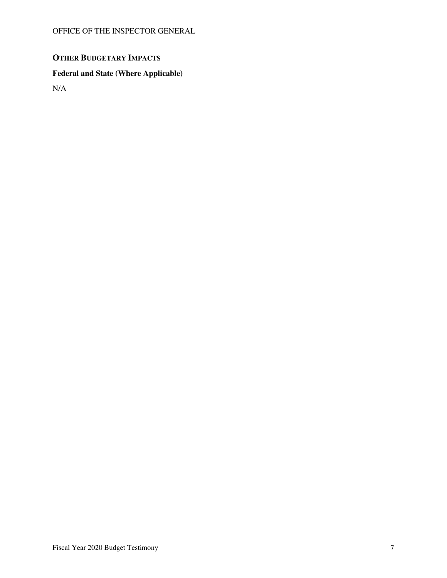# **OTHER BUDGETARY IMPACTS**

## **Federal and State (Where Applicable)**

N/A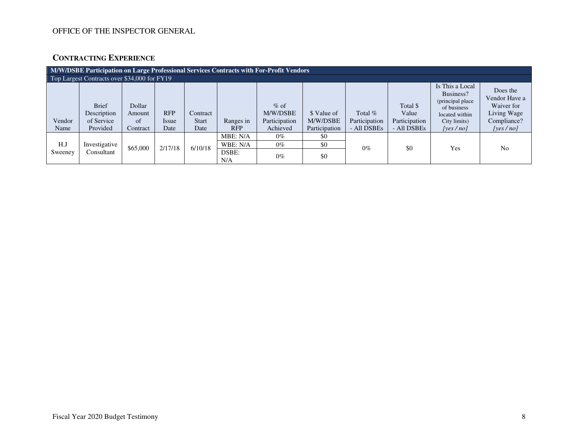## OFFICE OF THE INSPECTOR GENERAL

## **CONTRACTING EXPERIENCE**

| M/W/DSBE Participation on Large Professional Services Contracts with For-Profit Vendors |                                                       |                                    |                             |                                  |                         |                                                 |                                          |                                           |                                                   |                                                                                                                |                                                                                   |
|-----------------------------------------------------------------------------------------|-------------------------------------------------------|------------------------------------|-----------------------------|----------------------------------|-------------------------|-------------------------------------------------|------------------------------------------|-------------------------------------------|---------------------------------------------------|----------------------------------------------------------------------------------------------------------------|-----------------------------------------------------------------------------------|
| Top Largest Contracts over \$34,000 for FY19                                            |                                                       |                                    |                             |                                  |                         |                                                 |                                          |                                           |                                                   |                                                                                                                |                                                                                   |
| Vendor<br>Name                                                                          | <b>Brief</b><br>Description<br>of Service<br>Provided | Dollar<br>Amount<br>of<br>Contract | <b>RFP</b><br>Issue<br>Date | Contract<br><b>Start</b><br>Date | Ranges in<br><b>RFP</b> | $%$ of<br>M/W/DSBE<br>Participation<br>Achieved | \$ Value of<br>M/W/DSBE<br>Participation | Total $%$<br>Participation<br>- All DSBEs | Total \$<br>Value<br>Participation<br>- All DSBEs | Is This a Local<br>Business?<br>(principal place)<br>of business<br>located within<br>City limits)<br>[ves/no] | Does the<br>Vendor Have a<br>Waiver for<br>Living Wage<br>Compliance?<br>[yes/no] |
| H.J                                                                                     | Investigative                                         |                                    |                             |                                  | MBE: N/A<br>WBE: N/A    | $0\%$<br>$0\%$                                  | \$0<br>\$0                               |                                           |                                                   |                                                                                                                |                                                                                   |
| Sweeney                                                                                 | Consultant                                            | \$65,000                           | 2/17/18                     | 6/10/18                          | DSBE:<br>N/A            | $0\%$                                           | \$0                                      | $0\%$                                     | \$0                                               | Yes                                                                                                            | N <sub>0</sub>                                                                    |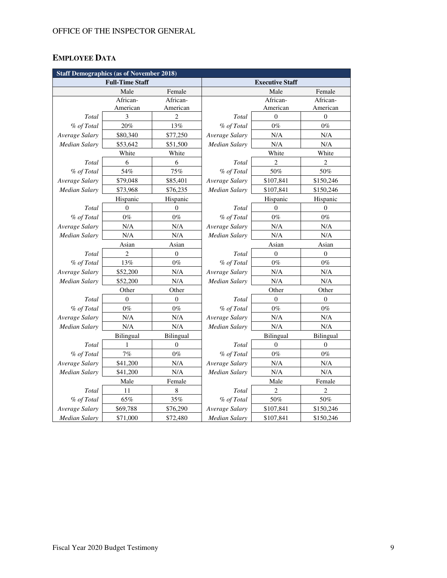# **EMPLOYEE DATA**

| <b>Staff Demographics (as of November 2018)</b> |                        |                  |                        |                  |                  |  |  |  |
|-------------------------------------------------|------------------------|------------------|------------------------|------------------|------------------|--|--|--|
|                                                 | <b>Full-Time Staff</b> |                  | <b>Executive Staff</b> |                  |                  |  |  |  |
|                                                 | Male                   | Female           |                        | Male             | Female           |  |  |  |
|                                                 | African-               | African-         |                        | African-         | African-         |  |  |  |
|                                                 | American               | American         |                        | American         | American         |  |  |  |
| Total                                           | 3                      | $\overline{2}$   | Total                  | $\theta$         | $\mathbf{0}$     |  |  |  |
| % of Total                                      | 20%                    | 13%              | % of Total             | $0\%$            | $0\%$            |  |  |  |
| Average Salary                                  | \$80,340               | \$77,250         | Average Salary         | N/A              | N/A              |  |  |  |
| Median Salary                                   | \$53,642               | \$51,500         | Median Salary          | N/A              | N/A              |  |  |  |
|                                                 | White                  | White            |                        | White            | White            |  |  |  |
| Total                                           | 6                      | 6                | Total                  | 2                | $\overline{c}$   |  |  |  |
| % of Total                                      | 54%                    | 75%              | % of Total             | 50%              | 50%              |  |  |  |
| Average Salary                                  | \$79,048               | \$85,401         | Average Salary         | \$107,841        | \$150,246        |  |  |  |
| <b>Median Salary</b>                            | \$73,968               | \$76,235         | Median Salary          | \$107,841        | \$150,246        |  |  |  |
|                                                 | Hispanic               | Hispanic         |                        | Hispanic         | Hispanic         |  |  |  |
| Total                                           | $\mathbf{0}$           | $\mathbf{0}$     | Total                  | $\mathbf{0}$     | $\mathbf{0}$     |  |  |  |
| % of Total                                      | $0\%$                  | $0\%$            | % of Total             | $0\%$            | $0\%$            |  |  |  |
| Average Salary                                  | N/A                    | N/A              | Average Salary         | N/A              | N/A              |  |  |  |
| Median Salary                                   | N/A                    | N/A              | <b>Median Salary</b>   | N/A              | N/A              |  |  |  |
| Asian                                           |                        | Asian            |                        | Asian            | Asian            |  |  |  |
| Total                                           | 2                      | $\boldsymbol{0}$ | Total                  | $\boldsymbol{0}$ | $\boldsymbol{0}$ |  |  |  |
| % of Total                                      | 13%                    | $0\%$            | % of Total             | $0\%$            | $0\%$            |  |  |  |
| Average Salary                                  | \$52,200               | N/A              | Average Salary         | N/A              | $\rm N/A$        |  |  |  |
| <b>Median Salary</b>                            | \$52,200               | N/A              | Median Salary          | N/A              | N/A              |  |  |  |
|                                                 | Other                  | Other            |                        | Other            | Other            |  |  |  |
| Total                                           | $\theta$               | $\mathbf{0}$     | Total                  | $\theta$         | $\mathbf{0}$     |  |  |  |
| % of Total                                      | $0\%$                  | $0\%$            | % of Total             | $0\%$            | $0\%$            |  |  |  |
| Average Salary                                  | $\rm N/A$              | N/A              | Average Salary         | N/A              | N/A              |  |  |  |
| Median Salary                                   | N/A                    | N/A              | Median Salary          | N/A              | N/A              |  |  |  |
|                                                 | Bilingual              | Bilingual        | Bilingual<br>Bilingual |                  |                  |  |  |  |
| Total                                           | 1                      | $\theta$         | Total                  | $\overline{0}$   | $\theta$         |  |  |  |
| % of Total                                      | 7%                     | $0\%$            | % of Total             | $0\%$            | $0\%$            |  |  |  |
| Average Salary                                  | \$41,200               | N/A              | Average Salary         | N/A              | $\rm N/A$        |  |  |  |
| Median Salary                                   | \$41,200               | N/A              | Median Salary          | N/A              | N/A              |  |  |  |
|                                                 | Male                   | Female           |                        | Male             | Female           |  |  |  |
| Total                                           | 11                     | $\,$ 8 $\,$      | Total                  | $\overline{2}$   | $\overline{c}$   |  |  |  |
| % of Total                                      | 65%                    | 35%              | % of Total             | $50\%$           | 50%              |  |  |  |
| Average Salary                                  | \$69,788               | \$76,290         | Average Salary         | \$107,841        | \$150,246        |  |  |  |
| <b>Median Salary</b>                            | \$71,000               | \$72,480         | <b>Median Salary</b>   | \$107,841        | \$150,246        |  |  |  |